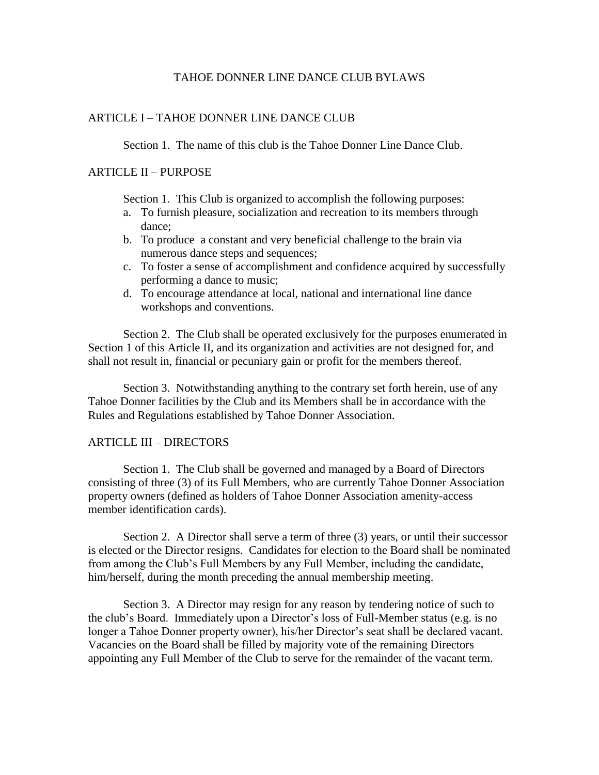# TAHOE DONNER LINE DANCE CLUB BYLAWS

# ARTICLE I – TAHOE DONNER LINE DANCE CLUB

Section 1. The name of this club is the Tahoe Donner Line Dance Club.

# ARTICLE II – PURPOSE

Section 1. This Club is organized to accomplish the following purposes:

- a. To furnish pleasure, socialization and recreation to its members through dance;
- b. To produce a constant and very beneficial challenge to the brain via numerous dance steps and sequences;
- c. To foster a sense of accomplishment and confidence acquired by successfully performing a dance to music;
- d. To encourage attendance at local, national and international line dance workshops and conventions.

Section 2. The Club shall be operated exclusively for the purposes enumerated in Section 1 of this Article II, and its organization and activities are not designed for, and shall not result in, financial or pecuniary gain or profit for the members thereof.

Section 3. Notwithstanding anything to the contrary set forth herein, use of any Tahoe Donner facilities by the Club and its Members shall be in accordance with the Rules and Regulations established by Tahoe Donner Association.

#### ARTICLE III – DIRECTORS

Section 1. The Club shall be governed and managed by a Board of Directors consisting of three (3) of its Full Members, who are currently Tahoe Donner Association property owners (defined as holders of Tahoe Donner Association amenity-access member identification cards).

Section 2. A Director shall serve a term of three (3) years, or until their successor is elected or the Director resigns. Candidates for election to the Board shall be nominated from among the Club's Full Members by any Full Member, including the candidate, him/herself, during the month preceding the annual membership meeting.

Section 3. A Director may resign for any reason by tendering notice of such to the club's Board. Immediately upon a Director's loss of Full-Member status (e.g. is no longer a Tahoe Donner property owner), his/her Director's seat shall be declared vacant. Vacancies on the Board shall be filled by majority vote of the remaining Directors appointing any Full Member of the Club to serve for the remainder of the vacant term.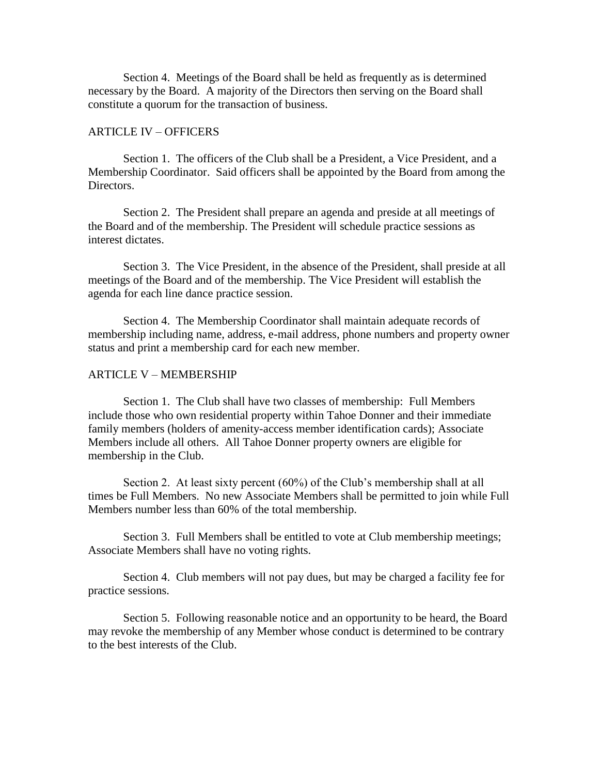Section 4. Meetings of the Board shall be held as frequently as is determined necessary by the Board. A majority of the Directors then serving on the Board shall constitute a quorum for the transaction of business.

#### ARTICLE IV – OFFICERS

Section 1. The officers of the Club shall be a President, a Vice President, and a Membership Coordinator. Said officers shall be appointed by the Board from among the Directors.

Section 2. The President shall prepare an agenda and preside at all meetings of the Board and of the membership. The President will schedule practice sessions as interest dictates.

Section 3. The Vice President, in the absence of the President, shall preside at all meetings of the Board and of the membership. The Vice President will establish the agenda for each line dance practice session.

Section 4. The Membership Coordinator shall maintain adequate records of membership including name, address, e-mail address, phone numbers and property owner status and print a membership card for each new member.

#### ARTICLE V – MEMBERSHIP

Section 1. The Club shall have two classes of membership: Full Members include those who own residential property within Tahoe Donner and their immediate family members (holders of amenity-access member identification cards); Associate Members include all others. All Tahoe Donner property owners are eligible for membership in the Club.

Section 2. At least sixty percent (60%) of the Club's membership shall at all times be Full Members. No new Associate Members shall be permitted to join while Full Members number less than 60% of the total membership.

Section 3. Full Members shall be entitled to vote at Club membership meetings; Associate Members shall have no voting rights.

Section 4. Club members will not pay dues, but may be charged a facility fee for practice sessions.

Section 5. Following reasonable notice and an opportunity to be heard, the Board may revoke the membership of any Member whose conduct is determined to be contrary to the best interests of the Club.